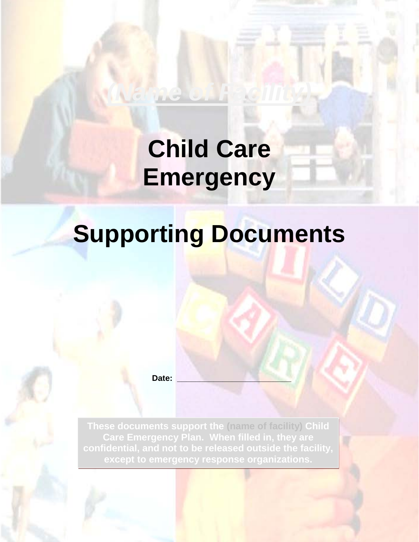# **Child Care Emergency**

*(Name of Facility)* 

# **Supporting Documents**

**Date: \_\_\_\_\_\_\_\_\_\_\_\_\_\_\_\_\_\_\_\_\_\_\_\_\_**

**These documents support the (name of facility) Child Care Emergency Plan. When filled in, they are confidential, and not to be released outside the facility, except to emergency response organizations.**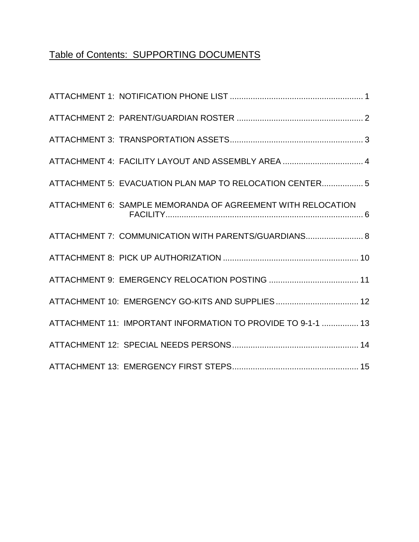# Table of Contents: SUPPORTING DOCUMENTS

| ATTACHMENT 4: FACILITY LAYOUT AND ASSEMBLY AREA  4           |
|--------------------------------------------------------------|
| ATTACHMENT 5: EVACUATION PLAN MAP TO RELOCATION CENTER 5     |
| ATTACHMENT 6: SAMPLE MEMORANDA OF AGREEMENT WITH RELOCATION  |
| ATTACHMENT 7: COMMUNICATION WITH PARENTS/GUARDIANS 8         |
|                                                              |
|                                                              |
| ATTACHMENT 10: EMERGENCY GO-KITS AND SUPPLIES 12             |
| ATTACHMENT 11: IMPORTANT INFORMATION TO PROVIDE TO 9-1-1  13 |
|                                                              |
|                                                              |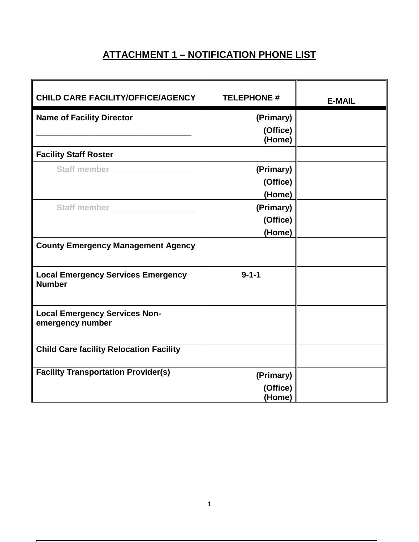## **ATTACHMENT 1 – NOTIFICATION PHONE LIST**

| CHILD CARE FACILITY/OFFICE/AGENCY                          | <b>TELEPHONE #</b>              | <b>E-MAIL</b> |
|------------------------------------------------------------|---------------------------------|---------------|
| <b>Name of Facility Director</b>                           | (Primary)<br>(Office)<br>(Home) |               |
| <b>Facility Staff Roster</b>                               |                                 |               |
| Staff member __________                                    | (Primary)<br>(Office)<br>(Home) |               |
| Staff member ___________                                   | (Primary)<br>(Office)<br>(Home) |               |
| <b>County Emergency Management Agency</b>                  |                                 |               |
| <b>Local Emergency Services Emergency</b><br><b>Number</b> | $9 - 1 - 1$                     |               |
| <b>Local Emergency Services Non-</b><br>emergency number   |                                 |               |
| <b>Child Care facility Relocation Facility</b>             |                                 |               |
| <b>Facility Transportation Provider(s)</b>                 | (Primary)<br>(Office)<br>(Home) |               |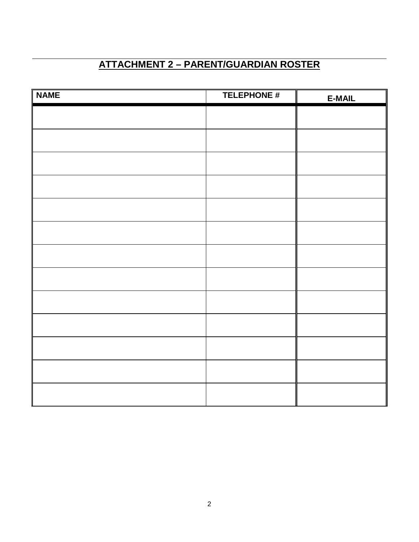# **ATTACHMENT 2 – PARENT/GUARDIAN ROSTER**

| <b>NAME</b> | <b>TELEPHONE #</b> | <b>E-MAIL</b> |
|-------------|--------------------|---------------|
|             |                    |               |
|             |                    |               |
|             |                    |               |
|             |                    |               |
|             |                    |               |
|             |                    |               |
|             |                    |               |
|             |                    |               |
|             |                    |               |
|             |                    |               |
|             |                    |               |
|             |                    |               |
|             |                    |               |
|             |                    |               |
|             |                    |               |
|             |                    |               |
|             |                    |               |
|             |                    |               |
|             |                    |               |
|             |                    |               |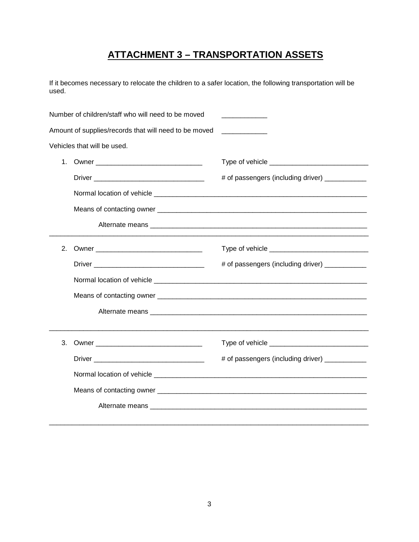## **ATTACHMENT 3 – TRANSPORTATION ASSETS**

If it becomes necessary to relocate the children to a safer location, the following transportation will be used.

| Number of children/staff who will need to be moved    |                                                                                                                                                                                                                               |                                                 |  |
|-------------------------------------------------------|-------------------------------------------------------------------------------------------------------------------------------------------------------------------------------------------------------------------------------|-------------------------------------------------|--|
| Amount of supplies/records that will need to be moved |                                                                                                                                                                                                                               |                                                 |  |
|                                                       | Vehicles that will be used.                                                                                                                                                                                                   |                                                 |  |
| 1.                                                    |                                                                                                                                                                                                                               |                                                 |  |
|                                                       |                                                                                                                                                                                                                               | # of passengers (including driver) ___________  |  |
|                                                       |                                                                                                                                                                                                                               |                                                 |  |
|                                                       |                                                                                                                                                                                                                               |                                                 |  |
|                                                       |                                                                                                                                                                                                                               |                                                 |  |
| 2.                                                    |                                                                                                                                                                                                                               |                                                 |  |
|                                                       |                                                                                                                                                                                                                               | # of passengers (including driver) ___________  |  |
|                                                       |                                                                                                                                                                                                                               |                                                 |  |
|                                                       |                                                                                                                                                                                                                               |                                                 |  |
|                                                       |                                                                                                                                                                                                                               |                                                 |  |
| 3.                                                    | Owner and the contract of the contract of the contract of the contract of the contract of the contract of the contract of the contract of the contract of the contract of the contract of the contract of the contract of the |                                                 |  |
|                                                       |                                                                                                                                                                                                                               | # of passengers (including driver) ____________ |  |
|                                                       |                                                                                                                                                                                                                               |                                                 |  |
|                                                       |                                                                                                                                                                                                                               |                                                 |  |
|                                                       |                                                                                                                                                                                                                               |                                                 |  |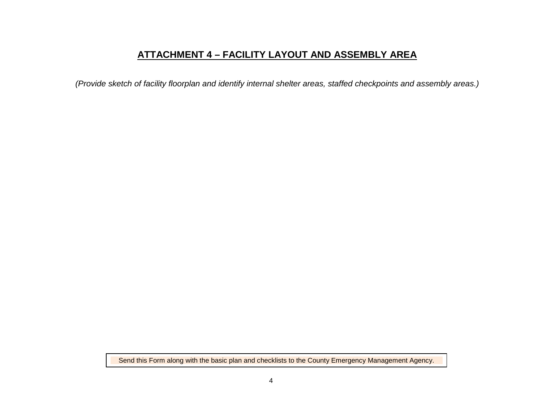### **ATTACHMENT 4 – FACILITY LAYOUT AND ASSEMBLY AREA**

*(Provide sketch of facility floorplan and identify internal shelter areas, staffed checkpoints and assembly areas.)*

Send this Form along with the basic plan and checklists to the County Emergency Management Agency.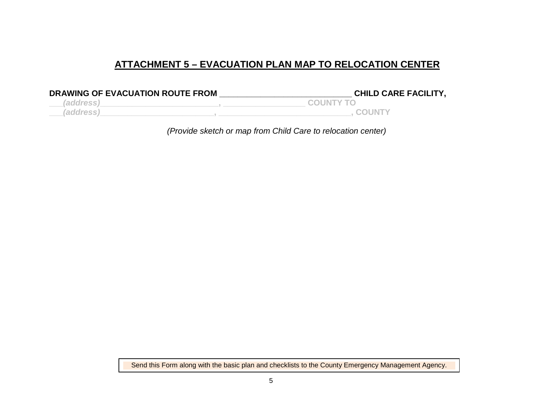### **ATTACHMENT 5 – EVACUATION PLAN MAP TO RELOCATION CENTER**

| DRAWING OF EVACUATION ROUTE FROM | <b>CHILD CARE FACILITY,</b> |
|----------------------------------|-----------------------------|
| <i>(address)</i>                 | <b>COUNTY TO</b>            |
| (address'                        | <b>COUNTY</b>               |

*(Provide sketch or map from Child Care to relocation center)*

Send this Form along with the basic plan and checklists to the County Emergency Management Agency.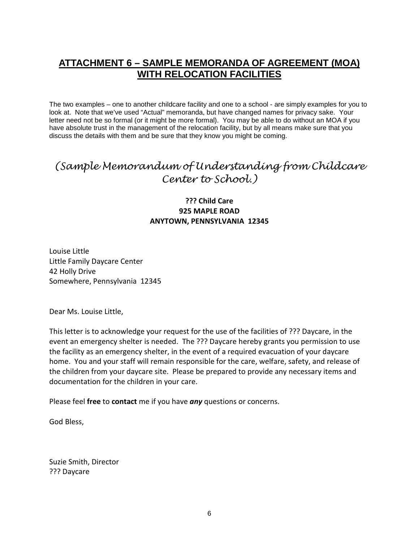### **ATTACHMENT 6 – SAMPLE MEMORANDA OF AGREEMENT (MOA) WITH RELOCATION FACILITIES**

The two examples – one to another childcare facility and one to a school - are simply examples for you to look at. Note that we've used "Actual" memoranda, but have changed names for privacy sake. Your letter need not be so formal (or it might be more formal). You may be able to do without an MOA if you have absolute trust in the management of the relocation facility, but by all means make sure that you discuss the details with them and be sure that they know you might be coming.

## *(Sample Memorandum of Understanding from Childcare Center to School.)*

### **??? Child Care 925 MAPLE ROAD ANYTOWN, PENNSYLVANIA 12345**

Louise Little Little Family Daycare Center 42 Holly Drive Somewhere, Pennsylvania 12345

Dear Ms. Louise Little,

This letter is to acknowledge your request for the use of the facilities of ??? Daycare, in the event an emergency shelter is needed. The ??? Daycare hereby grants you permission to use the facility as an emergency shelter, in the event of a required evacuation of your daycare home. You and your staff will remain responsible for the care, welfare, safety, and release of the children from your daycare site. Please be prepared to provide any necessary items and documentation for the children in your care.

Please feel **free** to **contact** me if you have *any* questions or concerns.

God Bless,

Suzie Smith, Director ??? Daycare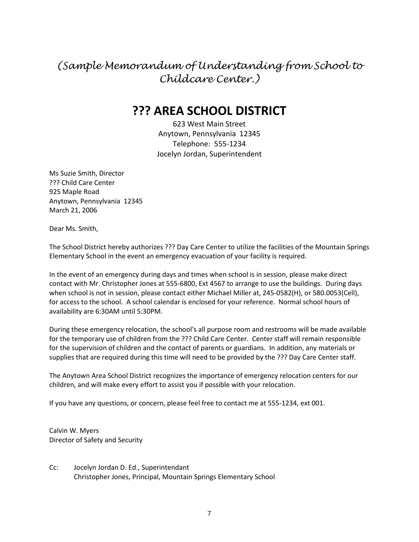# *(Sample Memorandum of Understanding from School to Childcare Center.)*

# **??? AREA SCHOOL DISTRICT**

623 West Main Street Anytown, Pennsylvania 12345 Telephone: 555-1234 Jocelyn Jordan, Superintendent

Ms Suzie Smith, Director ??? Child Care Center 925 Maple Road Anytown, Pennsylvania 12345 March 21, 2006

Dear Ms. Smith,

The School District hereby authorizes ??? Day Care Center to utilize the facilities of the Mountain Springs Elementary School in the event an emergency evacuation of your facility is required.

In the event of an emergency during days and times when school is in session, please make direct contact with Mr. Christopher Jones at 555-6800, Ext 4567 to arrange to use the buildings. During days when school is not in session, please contact either Michael Miller at, 245-0582(H), or 580.0053(Cell), for access to the school. A school calendar is enclosed for your reference. Normal school hours of availability are 6:30AM until 5:30PM.

During these emergency relocation, the school's all purpose room and restrooms will be made available for the temporary use of children from the ??? Child Care Center. Center staff will remain responsible for the supervision of children and the contact of parents or guardians. In addition, any materials or supplies that are required during this time will need to be provided by the ??? Day Care Center staff.

The Anytown Area School District recognizes the importance of emergency relocation centers for our children, and will make every effort to assist you if possible with your relocation.

If you have any questions, or concern, please feel free to contact me at 555-1234, ext 001.

Calvin W. Myers Director of Safety and Security

Cc: Jocelyn Jordan D. Ed., Superintendant Christopher Jones, Principal, Mountain Springs Elementary School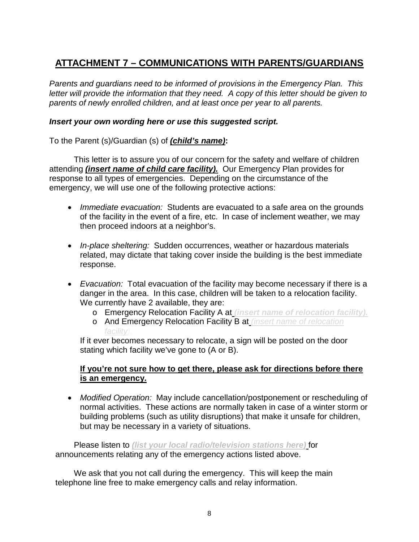### **ATTACHMENT 7 – COMMUNICATIONS WITH PARENTS/GUARDIANS**

*Parents and guardians need to be informed of provisions in the Emergency Plan. This letter will provide the information that they need. A copy of this letter should be given to parents of newly enrolled children, and at least once per year to all parents.*

#### *Insert your own wording here or use this suggested script.*

To the Parent (s)/Guardian (s) of *(child's name)***:**

This letter is to assure you of our concern for the safety and welfare of children attending *(insert name of child care facility).* Our Emergency Plan provides for response to all types of emergencies. Depending on the circumstance of the emergency, we will use one of the following protective actions:

- *Immediate evacuation:* Students are evacuated to a safe area on the grounds of the facility in the event of a fire, etc. In case of inclement weather, we may then proceed indoors at a neighbor's.
- *In-place sheltering:* Sudden occurrences, weather or hazardous materials related, may dictate that taking cover inside the building is the best immediate response.
- *Evacuation:* Total evacuation of the facility may become necessary if there is a danger in the area. In this case, children will be taken to a relocation facility. We currently have 2 available, they are:
	- o Emergency Relocation Facility A at *(insert name of relocation facility).*
	- o And Emergency Relocation Facility B at *(insert name of relocation facility).*

If it ever becomes necessary to relocate, a sign will be posted on the door stating which facility we've gone to (A or B).

### **If you're not sure how to get there, please ask for directions before there is an emergency.**

• *Modified Operation:* May include cancellation/postponement or rescheduling of normal activities. These actions are normally taken in case of a winter storm or building problems (such as utility disruptions) that make it unsafe for children, but may be necessary in a variety of situations.

Please listen to *(list your local radio/television stations here)* for announcements relating any of the emergency actions listed above.

We ask that you not call during the emergency. This will keep the main telephone line free to make emergency calls and relay information.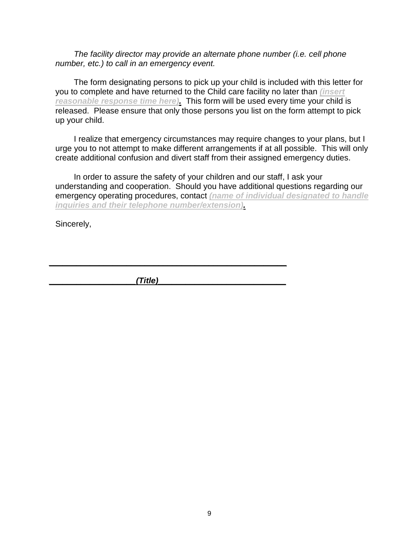*The facility director may provide an alternate phone number (i.e. cell phone number, etc.) to call in an emergency event.*

The form designating persons to pick up your child is included with this letter for you to complete and have returned to the Child care facility no later than *(insert reasonable response time here).* This form will be used every time your child is released. Please ensure that only those persons you list on the form attempt to pick up your child.

I realize that emergency circumstances may require changes to your plans, but I urge you to not attempt to make different arrangements if at all possible. This will only create additional confusion and divert staff from their assigned emergency duties.

In order to assure the safety of your children and our staff, I ask your understanding and cooperation. Should you have additional questions regarding our emergency operating procedures, contact *(name of individual designated to handle inquiries and their telephone number/extension).*

Sincerely,

*\_\_\_\_\_\_\_\_\_\_\_\_\_\_\_\_\_\_\_(Title)\_\_\_\_\_\_\_\_\_\_\_\_\_\_\_\_\_\_\_\_\_\_\_\_\_\_\_\_*

*\_\_\_\_\_\_\_\_\_\_\_\_\_\_\_\_\_\_\_\_\_\_\_\_\_\_\_\_\_\_\_\_\_\_\_\_\_\_\_\_\_\_\_\_\_\_\_\_\_\_\_\_*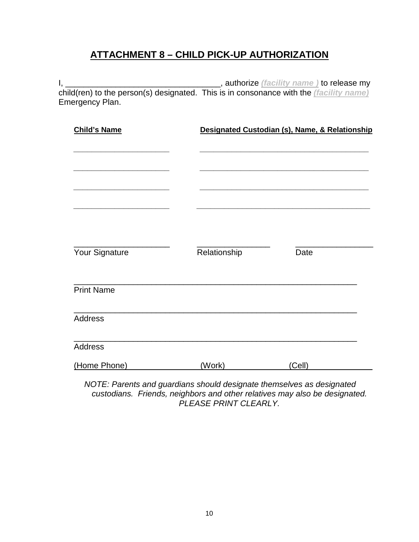### **ATTACHMENT 8 – CHILD PICK-UP AUTHORIZATION**

I, \_\_\_\_\_\_\_\_\_\_\_\_\_\_\_\_\_\_\_\_\_\_\_\_\_\_\_\_\_\_\_\_\_\_, authorize *(facility name )* to release my child(ren) to the person(s) designated. This is in consonance with the *(facility name)* Emergency Plan.

| <b>Child's Name</b> |              | Designated Custodian (s), Name, & Relationship |  |  |
|---------------------|--------------|------------------------------------------------|--|--|
| Your Signature      | Relationship | Date                                           |  |  |
| <b>Print Name</b>   |              |                                                |  |  |
| <b>Address</b>      |              |                                                |  |  |
| Address             |              |                                                |  |  |
| (Home Phone)        | (Work)       | (Cell)                                         |  |  |

*NOTE: Parents and guardians should designate themselves as designated custodians. Friends, neighbors and other relatives may also be designated. PLEASE PRINT CLEARLY.*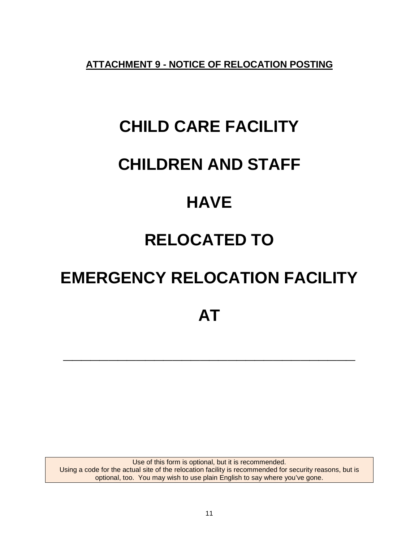**ATTACHMENT 9 - NOTICE OF RELOCATION POSTING**

# **CHILD CARE FACILITY**

# **CHILDREN AND STAFF**

# **HAVE**

# **RELOCATED TO**

# **EMERGENCY RELOCATION FACILITY**

**\_\_\_\_\_\_\_\_\_\_\_\_\_\_\_\_\_\_\_\_\_\_\_\_\_\_\_\_\_\_\_\_**

Use of this form is optional, but it is recommended. Using a code for the actual site of the relocation facility is recommended for security reasons, but is optional, too. You may wish to use plain English to say where you've gone.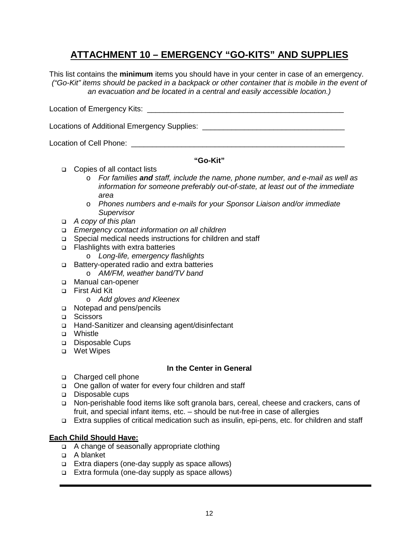### **ATTACHMENT 10 – EMERGENCY "GO-KITS" AND SUPPLIES**

This list contains the **minimum** items you should have in your center in case of an emergency. *("Go-Kit" items should be packed in a backpack or other container that is mobile in the event of an evacuation and be located in a central and easily accessible location.)*

Location of Emergency Kits: \_\_\_\_\_\_\_\_\_\_\_\_\_\_\_\_\_\_\_\_\_\_\_\_\_\_\_\_\_\_\_\_\_\_\_\_\_\_\_\_\_\_\_\_\_\_\_

Locations of Additional Emergency Supplies: \_\_\_\_\_\_\_\_\_\_\_\_\_\_\_\_\_\_\_\_\_\_\_\_\_\_\_\_\_\_\_\_\_\_

Location of Cell Phone:

#### **"Go-Kit"**

- □ Copies of all contact lists
	- o *For families and staff, include the name, phone number, and e-mail as well as information for someone preferably out-of-state, at least out of the immediate area*
	- o *Phones numbers and e-mails for your Sponsor Liaison and/or immediate Supervisor*
- *A copy of this plan*
- *Emergency contact information on all children*
- □ Special medical needs instructions for children and staff
- □ Flashlights with extra batteries
	- o *Long-life, emergency flashlights*
- Battery-operated radio and extra batteries
	- o *AM/FM, weather band/TV band*
- □ Manual can-opener
- First Aid Kit
	- o *Add gloves and Kleenex*
- □ Notepad and pens/pencils
- □ Scissors
- □ Hand-Sanitizer and cleansing agent/disinfectant
- D Whistle
- Disposable Cups
- Wet Wipes

#### **In the Center in General**

- □ Charged cell phone
- □ One gallon of water for every four children and staff
- Disposable cups
- Non-perishable food items like soft granola bars, cereal, cheese and crackers, cans of fruit, and special infant items, etc. – should be nut-free in case of allergies
- Extra supplies of critical medication such as insulin, epi-pens, etc. for children and staff

#### **Each Child Should Have:**

- □ A change of seasonally appropriate clothing
- A blanket
- Extra diapers (one-day supply as space allows)
- Extra formula (one-day supply as space allows)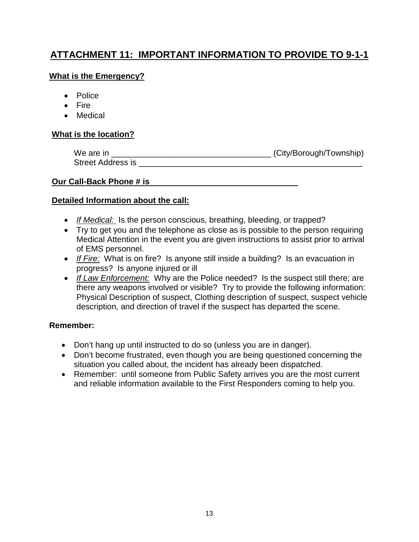### **ATTACHMENT 11: IMPORTANT INFORMATION TO PROVIDE TO 9-1-1**

### **What is the Emergency?**

- Police
- Fire
- Medical

### **What is the location?**

| We are in                | (City/Borough/Township) |
|--------------------------|-------------------------|
| <b>Street Address is</b> |                         |

### **Our Call-Back Phone # is**

### **Detailed Information about the call:**

- If Medical: Is the person conscious, breathing, bleeding, or trapped?
- Try to get you and the telephone as close as is possible to the person requiring Medical Attention in the event you are given instructions to assist prior to arrival of EMS personnel.
- *If Fire:* What is on fire? Is anyone still inside a building? Is an evacuation in progress? Is anyone injured or ill
- *If Law Enforcement:* Why are the Police needed? Is the suspect still there; are there any weapons involved or visible? Try to provide the following information: Physical Description of suspect, Clothing description of suspect, suspect vehicle description, and direction of travel if the suspect has departed the scene.

### **Remember:**

- Don't hang up until instructed to do so (unless you are in danger).
- Don't become frustrated, even though you are being questioned concerning the situation you called about, the incident has already been dispatched.
- Remember: until someone from Public Safety arrives you are the most current and reliable information available to the First Responders coming to help you.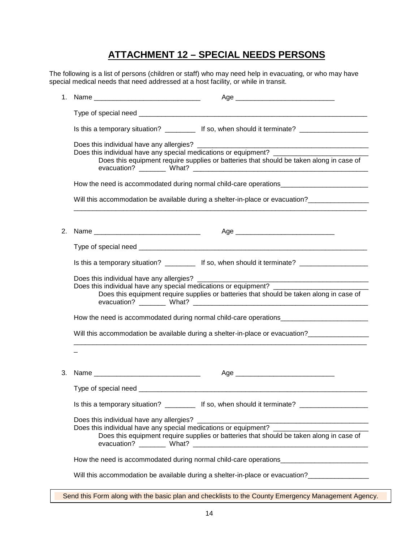### **ATTACHMENT 12 – SPECIAL NEEDS PERSONS**

The following is a list of persons (children or staff) who may need help in evacuating, or who may have special medical needs that need addressed at a host facility, or while in transit.

| 1. |                                                                                                                             |                                                                                                                                                                                                                 |
|----|-----------------------------------------------------------------------------------------------------------------------------|-----------------------------------------------------------------------------------------------------------------------------------------------------------------------------------------------------------------|
|    |                                                                                                                             |                                                                                                                                                                                                                 |
|    |                                                                                                                             | Is this a temporary situation? ____________ If so, when should it terminate? ______________________                                                                                                             |
|    |                                                                                                                             | Does this individual have any special medications or equipment? _______________________<br>Does this equipment require supplies or batteries that should be taken along in case of                              |
|    |                                                                                                                             |                                                                                                                                                                                                                 |
|    |                                                                                                                             | Will this accommodation be available during a shelter-in-place or evacuation?                                                                                                                                   |
| 2. |                                                                                                                             |                                                                                                                                                                                                                 |
|    |                                                                                                                             |                                                                                                                                                                                                                 |
|    |                                                                                                                             |                                                                                                                                                                                                                 |
|    |                                                                                                                             | Is this a temporary situation? ____________ If so, when should it terminate? ______________________                                                                                                             |
|    | Does this individual have any allergies? _______<br>Does this individual have any special medications or equipment? _______ | <u> 2000 - 2000 - 2000 - 2000 - 2000 - 2000 - 2000 - 2000 - 2000 - 2000 - 2000 - 2000 - 2000 - 2000 - 2000 - 200</u><br>Does this equipment require supplies or batteries that should be taken along in case of |
|    |                                                                                                                             |                                                                                                                                                                                                                 |
|    |                                                                                                                             | Will this accommodation be available during a shelter-in-place or evacuation?                                                                                                                                   |
|    |                                                                                                                             |                                                                                                                                                                                                                 |
| 3. |                                                                                                                             |                                                                                                                                                                                                                 |
|    |                                                                                                                             |                                                                                                                                                                                                                 |
|    |                                                                                                                             | Is this a temporary situation? ____________ If so, when should it terminate? ______________________                                                                                                             |
|    |                                                                                                                             | Does this individual have any special medications or equipment?<br>Does this equipment require supplies or batteries that should be taken along in case of                                                      |
|    |                                                                                                                             |                                                                                                                                                                                                                 |
|    |                                                                                                                             | Will this accommodation be available during a shelter-in-place or evacuation?                                                                                                                                   |

Send this Form along with the basic plan and checklists to the County Emergency Management Agency.